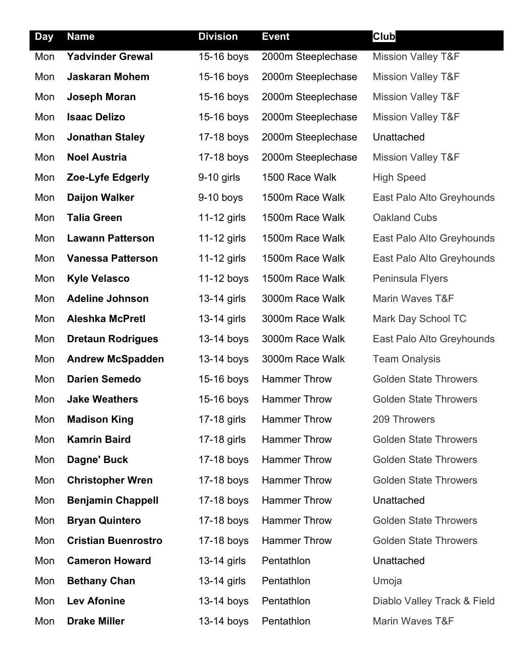| <b>Day</b> | <b>Name</b>                | <b>Division</b> | <b>Event</b>        | <b>Club</b>                   |
|------------|----------------------------|-----------------|---------------------|-------------------------------|
| Mon        | <b>Yadvinder Grewal</b>    | 15-16 boys      | 2000m Steeplechase  | <b>Mission Valley T&amp;F</b> |
| Mon        | <b>Jaskaran Mohem</b>      | 15-16 boys      | 2000m Steeplechase  | <b>Mission Valley T&amp;F</b> |
| Mon        | Joseph Moran               | 15-16 boys      | 2000m Steeplechase  | <b>Mission Valley T&amp;F</b> |
| Mon        | <b>Isaac Delizo</b>        | 15-16 boys      | 2000m Steeplechase  | <b>Mission Valley T&amp;F</b> |
| Mon        | <b>Jonathan Staley</b>     | 17-18 boys      | 2000m Steeplechase  | Unattached                    |
| Mon        | <b>Noel Austria</b>        | 17-18 boys      | 2000m Steeplechase  | <b>Mission Valley T&amp;F</b> |
| Mon        | Zoe-Lyfe Edgerly           | 9-10 girls      | 1500 Race Walk      | <b>High Speed</b>             |
| Mon        | <b>Daijon Walker</b>       | $9-10$ boys     | 1500m Race Walk     | East Palo Alto Greyhounds     |
| Mon        | <b>Talia Green</b>         | 11-12 girls     | 1500m Race Walk     | <b>Oakland Cubs</b>           |
| Mon        | <b>Lawann Patterson</b>    | 11-12 girls     | 1500m Race Walk     | East Palo Alto Greyhounds     |
| Mon        | <b>Vanessa Patterson</b>   | 11-12 girls     | 1500m Race Walk     | East Palo Alto Greyhounds     |
| Mon        | <b>Kyle Velasco</b>        | 11-12 boys      | 1500m Race Walk     | Peninsula Flyers              |
| Mon        | <b>Adeline Johnson</b>     | 13-14 girls     | 3000m Race Walk     | Marin Waves T&F               |
| Mon        | <b>Aleshka McPretl</b>     | 13-14 girls     | 3000m Race Walk     | Mark Day School TC            |
| Mon        | <b>Dretaun Rodrigues</b>   | 13-14 boys      | 3000m Race Walk     | East Palo Alto Greyhounds     |
| Mon        | <b>Andrew McSpadden</b>    | 13-14 boys      | 3000m Race Walk     | <b>Team Onalysis</b>          |
| Mon        | <b>Darien Semedo</b>       | 15-16 boys      | <b>Hammer Throw</b> | <b>Golden State Throwers</b>  |
| Mon        | <b>Jake Weathers</b>       | 15-16 boys      | <b>Hammer Throw</b> | <b>Golden State Throwers</b>  |
| Mon        | <b>Madison King</b>        | 17-18 girls     | <b>Hammer Throw</b> | 209 Throwers                  |
| Mon        | <b>Kamrin Baird</b>        | 17-18 girls     | <b>Hammer Throw</b> | <b>Golden State Throwers</b>  |
| Mon        | Dagne' Buck                | 17-18 boys      | <b>Hammer Throw</b> | <b>Golden State Throwers</b>  |
| Mon        | <b>Christopher Wren</b>    | 17-18 boys      | <b>Hammer Throw</b> | <b>Golden State Throwers</b>  |
| Mon        | <b>Benjamin Chappell</b>   | 17-18 boys      | <b>Hammer Throw</b> | Unattached                    |
| Mon        | <b>Bryan Quintero</b>      | 17-18 boys      | <b>Hammer Throw</b> | <b>Golden State Throwers</b>  |
| Mon        | <b>Cristian Buenrostro</b> | 17-18 boys      | <b>Hammer Throw</b> | <b>Golden State Throwers</b>  |
| Mon        | <b>Cameron Howard</b>      | 13-14 girls     | Pentathlon          | Unattached                    |
| Mon        | <b>Bethany Chan</b>        | 13-14 girls     | Pentathlon          | Umoja                         |
| Mon        | <b>Lev Afonine</b>         | 13-14 boys      | Pentathlon          | Diablo Valley Track & Field   |
| Mon        | <b>Drake Miller</b>        | 13-14 boys      | Pentathlon          | Marin Waves T&F               |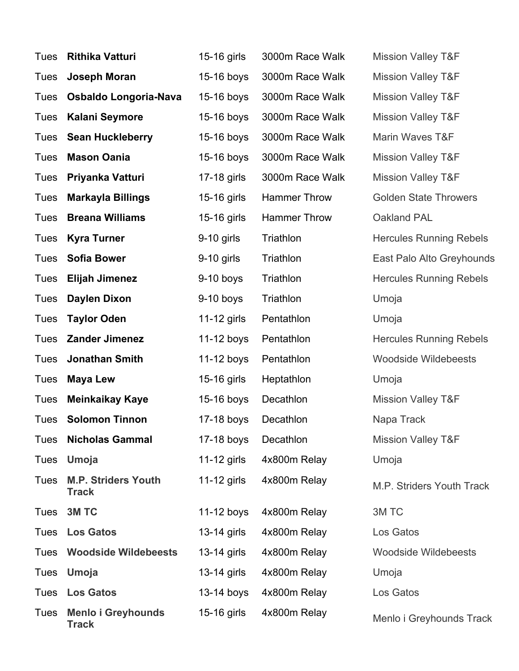| Tues        | <b>Rithika Vatturi</b>                     | 15-16 girls   | 3000m Race Walk | <b>Mission Valley T&amp;F</b>  |
|-------------|--------------------------------------------|---------------|-----------------|--------------------------------|
| Tues        | <b>Joseph Moran</b>                        | 15-16 boys    | 3000m Race Walk | <b>Mission Valley T&amp;F</b>  |
| Tues        | Osbaldo Longoria-Nava                      | 15-16 boys    | 3000m Race Walk | <b>Mission Valley T&amp;F</b>  |
| Tues        | <b>Kalani Seymore</b>                      | 15-16 boys    | 3000m Race Walk | <b>Mission Valley T&amp;F</b>  |
|             | Tues Sean Huckleberry                      | $15-16$ boys  | 3000m Race Walk | Marin Waves T&F                |
| Tues        | <b>Mason Oania</b>                         | 15-16 boys    | 3000m Race Walk | <b>Mission Valley T&amp;F</b>  |
| Tues        | Priyanka Vatturi                           | 17-18 girls   | 3000m Race Walk | <b>Mission Valley T&amp;F</b>  |
| Tues        | <b>Markayla Billings</b>                   | 15-16 girls   | Hammer Throw    | <b>Golden State Throwers</b>   |
| Tues        | <b>Breana Williams</b>                     | 15-16 girls   | Hammer Throw    | Oakland PAL                    |
| Tues        | <b>Kyra Turner</b>                         | $9-10$ girls  | Triathlon       | <b>Hercules Running Rebels</b> |
| Tues        | <b>Sofia Bower</b>                         | 9-10 girls    | Triathlon       | East Palo Alto Greyhounds      |
| Tues        | <b>Elijah Jimenez</b>                      | $9-10$ boys   | Triathlon       | <b>Hercules Running Rebels</b> |
| Tues        | <b>Daylen Dixon</b>                        | $9-10$ boys   | Triathlon       | Umoja                          |
| Tues        | <b>Taylor Oden</b>                         | 11-12 girls   | Pentathlon      | Umoja                          |
| Tues        | <b>Zander Jimenez</b>                      | $11-12$ boys  | Pentathlon      | <b>Hercules Running Rebels</b> |
| Tues        | <b>Jonathan Smith</b>                      | 11-12 boys    | Pentathlon      | <b>Woodside Wildebeests</b>    |
| Tues        | <b>Maya Lew</b>                            | 15-16 girls   | Heptathlon      | Umoja                          |
| Tues        | <b>Meinkaikay Kaye</b>                     | $15-16$ boys  | Decathlon       | <b>Mission Valley T&amp;F</b>  |
| Tues        | <b>Solomon Tinnon</b>                      | 17-18 boys    | Decathlon       | Napa Track                     |
| Tues        | <b>Nicholas Gammal</b>                     | $17-18$ boys  | Decathlon       | <b>Mission Valley T&amp;F</b>  |
| Tues        | Umoja                                      | 11-12 girls   | 4x800m Relay    | Umoja                          |
| <b>Tues</b> | <b>M.P. Striders Youth</b><br><b>Track</b> | 11-12 girls   | 4x800m Relay    | M.P. Striders Youth Track      |
| Tues        | 3M TC                                      | $11-12$ boys  | 4x800m Relay    | 3M TC                          |
| Tues        | <b>Los Gatos</b>                           | $13-14$ girls | 4x800m Relay    | Los Gatos                      |
| Tues        | <b>Woodside Wildebeests</b>                | 13-14 girls   | 4x800m Relay    | <b>Woodside Wildebeests</b>    |
| Tues        | Umoja                                      | 13-14 girls   | 4x800m Relay    | Umoja                          |
| Tues        | <b>Los Gatos</b>                           | $13-14$ boys  | 4x800m Relay    | Los Gatos                      |
| Tues        | <b>Menlo i Greyhounds</b><br><b>Track</b>  | 15-16 girls   | 4x800m Relay    | Menlo i Greyhounds Track       |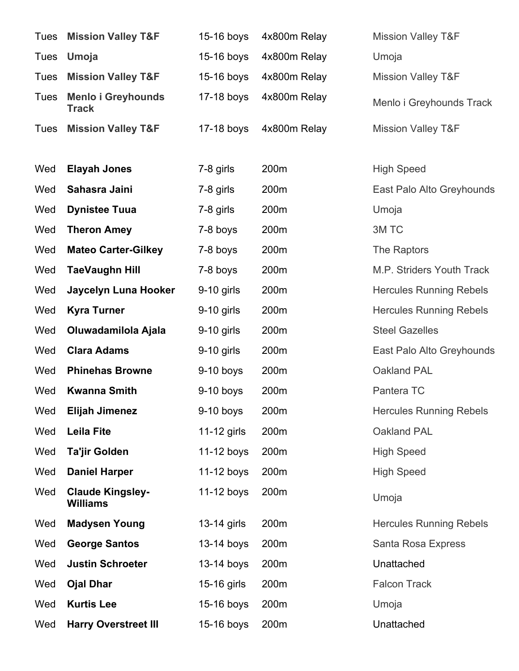|             | <b>Tues</b> Mission Valley T&F             | 15-16 boys   | 4x800m Relay | <b>Mission Valley T&amp;F</b>  |
|-------------|--------------------------------------------|--------------|--------------|--------------------------------|
| Tues        | Umoja                                      | 15-16 boys   | 4x800m Relay | Umoja                          |
| Tues        | <b>Mission Valley T&amp;F</b>              | 15-16 boys   | 4x800m Relay | <b>Mission Valley T&amp;F</b>  |
| <b>Tues</b> | <b>Menlo i Greyhounds</b><br><b>Track</b>  | 17-18 boys   | 4x800m Relay | Menlo i Greyhounds Track       |
| Tues        | <b>Mission Valley T&amp;F</b>              | $17-18$ boys | 4x800m Relay | <b>Mission Valley T&amp;F</b>  |
|             |                                            |              |              |                                |
| Wed         | <b>Elayah Jones</b>                        | 7-8 girls    | 200m         | <b>High Speed</b>              |
| Wed         | Sahasra Jaini                              | 7-8 girls    | 200m         | East Palo Alto Greyhounds      |
| Wed         | <b>Dynistee Tuua</b>                       | 7-8 girls    | 200m         | Umoja                          |
| Wed         | <b>Theron Amey</b>                         | 7-8 boys     | 200m         | 3M TC                          |
| Wed         | <b>Mateo Carter-Gilkey</b>                 | 7-8 boys     | 200m         | The Raptors                    |
| Wed         | <b>TaeVaughn Hill</b>                      | 7-8 boys     | 200m         | M.P. Striders Youth Track      |
| Wed         | Jaycelyn Luna Hooker                       | $9-10$ girls | 200m         | <b>Hercules Running Rebels</b> |
| Wed         | <b>Kyra Turner</b>                         | $9-10$ girls | 200m         | <b>Hercules Running Rebels</b> |
| Wed         | Oluwadamilola Ajala                        | 9-10 girls   | 200m         | <b>Steel Gazelles</b>          |
| Wed         | <b>Clara Adams</b>                         | 9-10 girls   | 200m         | East Palo Alto Greyhounds      |
| Wed         | <b>Phinehas Browne</b>                     | $9-10$ boys  | 200m         | Oakland PAL                    |
| Wed         | <b>Kwanna Smith</b>                        | $9-10$ boys  | 200m         | Pantera TC                     |
| Wed         | <b>Elijah Jimenez</b>                      | $9-10$ boys  | 200m         | <b>Hercules Running Rebels</b> |
| Wed         | <b>Leila Fite</b>                          | 11-12 girls  | 200m         | Oakland PAL                    |
| Wed         | <b>Ta'jir Golden</b>                       | $11-12$ boys | 200m         | <b>High Speed</b>              |
| Wed         | <b>Daniel Harper</b>                       | $11-12$ boys | 200m         | <b>High Speed</b>              |
| Wed         | <b>Claude Kingsley-</b><br><b>Williams</b> | 11-12 boys   | 200m         | Umoja                          |
| Wed         | <b>Madysen Young</b>                       | 13-14 girls  | 200m         | <b>Hercules Running Rebels</b> |
| Wed         | <b>George Santos</b>                       | $13-14$ boys | 200m         | Santa Rosa Express             |
| Wed         | <b>Justin Schroeter</b>                    | $13-14$ boys | 200m         | Unattached                     |
| Wed         | <b>Ojal Dhar</b>                           | 15-16 girls  | 200m         | <b>Falcon Track</b>            |
| Wed         | <b>Kurtis Lee</b>                          | 15-16 boys   | 200m         | Umoja                          |
| Wed         | <b>Harry Overstreet III</b>                | 15-16 boys   | 200m         | Unattached                     |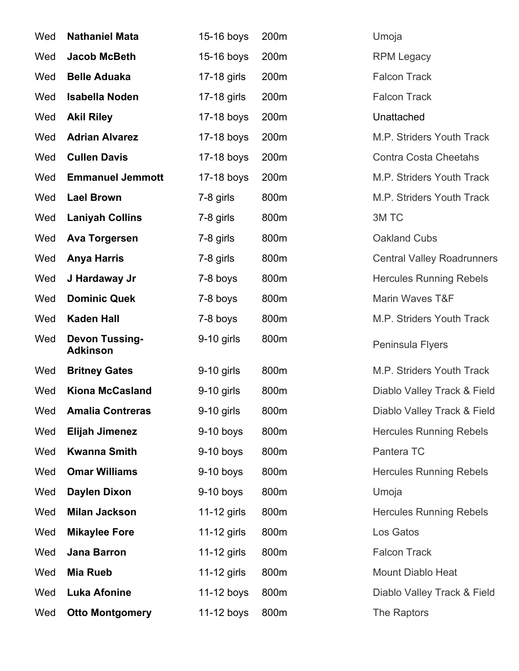| Wed | <b>Nathaniel Mata</b>                    | 15-16 boys   | 200m | Umoja                             |
|-----|------------------------------------------|--------------|------|-----------------------------------|
| Wed | <b>Jacob McBeth</b>                      | 15-16 boys   | 200m | <b>RPM Legacy</b>                 |
| Wed | <b>Belle Aduaka</b>                      | 17-18 girls  | 200m | <b>Falcon Track</b>               |
| Wed | <b>Isabella Noden</b>                    | 17-18 girls  | 200m | <b>Falcon Track</b>               |
| Wed | <b>Akil Riley</b>                        | 17-18 boys   | 200m | Unattached                        |
| Wed | <b>Adrian Alvarez</b>                    | 17-18 boys   | 200m | M.P. Striders Youth Track         |
| Wed | <b>Cullen Davis</b>                      | 17-18 boys   | 200m | <b>Contra Costa Cheetahs</b>      |
| Wed | <b>Emmanuel Jemmott</b>                  | 17-18 boys   | 200m | M.P. Striders Youth Track         |
| Wed | <b>Lael Brown</b>                        | 7-8 girls    | 800m | M.P. Striders Youth Track         |
| Wed | <b>Laniyah Collins</b>                   | 7-8 girls    | 800m | 3M TC                             |
| Wed | <b>Ava Torgersen</b>                     | 7-8 girls    | 800m | <b>Oakland Cubs</b>               |
| Wed | <b>Anya Harris</b>                       | 7-8 girls    | 800m | <b>Central Valley Roadrunners</b> |
| Wed | J Hardaway Jr                            | 7-8 boys     | 800m | <b>Hercules Running Rebels</b>    |
| Wed | <b>Dominic Quek</b>                      | 7-8 boys     | 800m | Marin Waves T&F                   |
| Wed | <b>Kaden Hall</b>                        | 7-8 boys     | 800m | M.P. Striders Youth Track         |
| Wed | <b>Devon Tussing-</b><br><b>Adkinson</b> | $9-10$ girls | 800m | Peninsula Flyers                  |
| Wed | <b>Britney Gates</b>                     | $9-10$ girls | 800m | M.P. Striders Youth Track         |
| Wed | <b>Kiona McCasland</b>                   | $9-10$ girls | 800m | Diablo Valley Track & Field       |
| Wed | <b>Amalia Contreras</b>                  | $9-10$ girls | 800m | Diablo Valley Track & Field       |
| Wed | <b>Elijah Jimenez</b>                    | $9-10$ boys  | 800m | <b>Hercules Running Rebels</b>    |
| Wed | <b>Kwanna Smith</b>                      | $9-10$ boys  | 800m | Pantera TC                        |
| Wed | <b>Omar Williams</b>                     | $9-10$ boys  | 800m | <b>Hercules Running Rebels</b>    |
| Wed | <b>Daylen Dixon</b>                      | $9-10$ boys  | 800m | Umoja                             |
| Wed | <b>Milan Jackson</b>                     | 11-12 girls  | 800m | <b>Hercules Running Rebels</b>    |
| Wed | <b>Mikaylee Fore</b>                     | 11-12 girls  | 800m | Los Gatos                         |
| Wed | Jana Barron                              | 11-12 girls  | 800m | <b>Falcon Track</b>               |
| Wed | <b>Mia Rueb</b>                          | 11-12 girls  | 800m | Mount Diablo Heat                 |
| Wed | <b>Luka Afonine</b>                      | $11-12$ boys | 800m | Diablo Valley Track & Field       |
| Wed | <b>Otto Montgomery</b>                   | 11-12 boys   | 800m | The Raptors                       |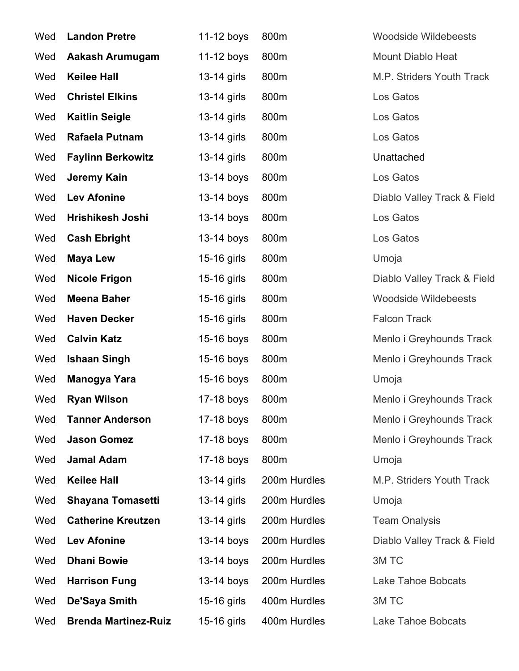| Wed | <b>Landon Pretre</b>        | 11-12 boys    | 800m         | <b>Woodside Wildebeests</b> |
|-----|-----------------------------|---------------|--------------|-----------------------------|
| Wed | Aakash Arumugam             | 11-12 boys    | 800m         | <b>Mount Diablo Heat</b>    |
| Wed | <b>Keilee Hall</b>          | 13-14 girls   | 800m         | M.P. Striders Youth Track   |
| Wed | <b>Christel Elkins</b>      | 13-14 girls   | 800m         | Los Gatos                   |
| Wed | <b>Kaitlin Seigle</b>       | 13-14 girls   | 800m         | Los Gatos                   |
| Wed | Rafaela Putnam              | 13-14 girls   | 800m         | Los Gatos                   |
| Wed | <b>Faylinn Berkowitz</b>    | 13-14 girls   | 800m         | Unattached                  |
| Wed | Jeremy Kain                 | 13-14 boys    | 800m         | Los Gatos                   |
| Wed | <b>Lev Afonine</b>          | 13-14 boys    | 800m         | Diablo Valley Track & Field |
| Wed | Hrishikesh Joshi            | 13-14 boys    | 800m         | Los Gatos                   |
| Wed | <b>Cash Ebright</b>         | 13-14 boys    | 800m         | Los Gatos                   |
| Wed | <b>Maya Lew</b>             | 15-16 girls   | 800m         | Umoja                       |
| Wed | <b>Nicole Frigon</b>        | 15-16 girls   | 800m         | Diablo Valley Track & Field |
| Wed | <b>Meena Baher</b>          | 15-16 girls   | 800m         | <b>Woodside Wildebeests</b> |
| Wed | <b>Haven Decker</b>         | 15-16 girls   | 800m         | <b>Falcon Track</b>         |
| Wed | <b>Calvin Katz</b>          | 15-16 boys    | 800m         | Menlo i Greyhounds Track    |
| Wed | <b>Ishaan Singh</b>         | 15-16 boys    | 800m         | Menlo i Greyhounds Track    |
| Wed | Manogya Yara                | 15-16 boys    | 800m         | Umoja                       |
| Wed | <b>Ryan Wilson</b>          | 17-18 boys    | 800m         | Menlo i Greyhounds Track    |
| Wed | <b>Tanner Anderson</b>      | 17-18 boys    | 800m         | Menlo i Greyhounds Track    |
| Wed | <b>Jason Gomez</b>          | 17-18 boys    | 800m         | Menlo i Greyhounds Track    |
| Wed | <b>Jamal Adam</b>           | 17-18 boys    | 800m         | Umoja                       |
| Wed | <b>Keilee Hall</b>          | 13-14 girls   | 200m Hurdles | M.P. Striders Youth Track   |
| Wed | <b>Shayana Tomasetti</b>    | 13-14 girls   | 200m Hurdles | Umoja                       |
| Wed | <b>Catherine Kreutzen</b>   | $13-14$ girls | 200m Hurdles | <b>Team Onalysis</b>        |
| Wed | <b>Lev Afonine</b>          | 13-14 boys    | 200m Hurdles | Diablo Valley Track & Field |
| Wed | <b>Dhani Bowie</b>          | 13-14 boys    | 200m Hurdles | 3M TC                       |
| Wed | <b>Harrison Fung</b>        | 13-14 boys    | 200m Hurdles | Lake Tahoe Bobcats          |
| Wed | De'Saya Smith               | 15-16 girls   | 400m Hurdles | 3M TC                       |
| Wed | <b>Brenda Martinez-Ruiz</b> | 15-16 girls   | 400m Hurdles | Lake Tahoe Bobcats          |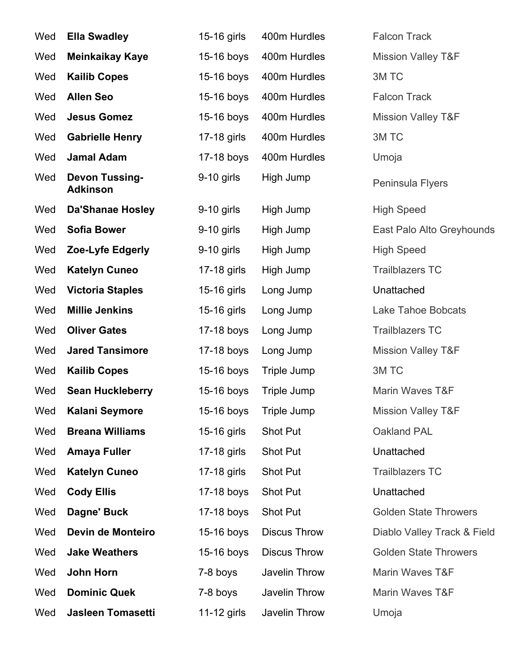| Wed | <b>Ella Swadley</b>                      | 15-16 girls  | 400m Hurdles        | <b>Falcon Track</b>           |
|-----|------------------------------------------|--------------|---------------------|-------------------------------|
| Wed | <b>Meinkaikay Kaye</b>                   | 15-16 boys   | 400m Hurdles        | <b>Mission Valley T&amp;F</b> |
| Wed | <b>Kailib Copes</b>                      | 15-16 boys   | 400m Hurdles        | 3M TC                         |
| Wed | <b>Allen Seo</b>                         | 15-16 boys   | 400m Hurdles        | <b>Falcon Track</b>           |
| Wed | <b>Jesus Gomez</b>                       | 15-16 boys   | 400m Hurdles        | <b>Mission Valley T&amp;F</b> |
| Wed | <b>Gabrielle Henry</b>                   | 17-18 girls  | 400m Hurdles        | 3M TC                         |
| Wed | <b>Jamal Adam</b>                        | 17-18 boys   | 400m Hurdles        | Umoja                         |
| Wed | <b>Devon Tussing-</b><br><b>Adkinson</b> | 9-10 girls   | High Jump           | Peninsula Flyers              |
| Wed | <b>Da'Shanae Hosley</b>                  | $9-10$ girls | High Jump           | <b>High Speed</b>             |
| Wed | <b>Sofia Bower</b>                       | $9-10$ girls | High Jump           | East Palo Alto Greyhounds     |
| Wed | Zoe-Lyfe Edgerly                         | 9-10 girls   | High Jump           | <b>High Speed</b>             |
| Wed | <b>Katelyn Cuneo</b>                     | 17-18 girls  | High Jump           | <b>Trailblazers TC</b>        |
| Wed | <b>Victoria Staples</b>                  | 15-16 girls  | Long Jump           | Unattached                    |
| Wed | <b>Millie Jenkins</b>                    | 15-16 girls  | Long Jump           | <b>Lake Tahoe Bobcats</b>     |
| Wed | <b>Oliver Gates</b>                      | 17-18 boys   | Long Jump           | <b>Trailblazers TC</b>        |
| Wed | <b>Jared Tansimore</b>                   | 17-18 boys   | Long Jump           | <b>Mission Valley T&amp;F</b> |
| Wed | <b>Kailib Copes</b>                      | 15-16 boys   | Triple Jump         | 3M TC                         |
| Wed | <b>Sean Huckleberry</b>                  | 15-16 boys   | Triple Jump         | Marin Waves T&F               |
|     | Wed Kalani Seymore                       | 15-16 boys   | Triple Jump         | <b>Mission Valley T&amp;F</b> |
| Wed | <b>Breana Williams</b>                   | 15-16 girls  | Shot Put            | Oakland PAL                   |
| Wed | <b>Amaya Fuller</b>                      | 17-18 girls  | Shot Put            | Unattached                    |
| Wed | <b>Katelyn Cuneo</b>                     | 17-18 girls  | Shot Put            | <b>Trailblazers TC</b>        |
| Wed | <b>Cody Ellis</b>                        | 17-18 boys   | Shot Put            | Unattached                    |
| Wed | Dagne' Buck                              | 17-18 boys   | Shot Put            | <b>Golden State Throwers</b>  |
| Wed | Devin de Monteiro                        | 15-16 boys   | <b>Discus Throw</b> | Diablo Valley Track & Field   |
| Wed | <b>Jake Weathers</b>                     | 15-16 boys   | <b>Discus Throw</b> | <b>Golden State Throwers</b>  |
| Wed | John Horn                                | 7-8 boys     | Javelin Throw       | Marin Waves T&F               |
| Wed | <b>Dominic Quek</b>                      | 7-8 boys     | Javelin Throw       | Marin Waves T&F               |
| Wed | <b>Jasleen Tomasetti</b>                 | 11-12 girls  | Javelin Throw       | Umoja                         |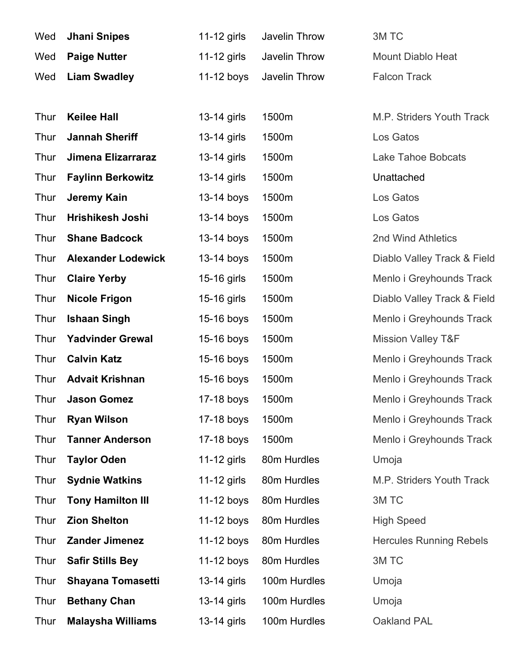| Wed         | <b>Jhani Snipes</b>       | 11-12 girls  | Javelin Throw | 3M TC                          |
|-------------|---------------------------|--------------|---------------|--------------------------------|
| Wed         | <b>Paige Nutter</b>       | 11-12 girls  | Javelin Throw | <b>Mount Diablo Heat</b>       |
| Wed         | <b>Liam Swadley</b>       | 11-12 boys   | Javelin Throw | <b>Falcon Track</b>            |
|             |                           |              |               |                                |
| Thur        | <b>Keilee Hall</b>        | 13-14 girls  | 1500m         | M.P. Striders Youth Track      |
| Thur        | <b>Jannah Sheriff</b>     | 13-14 girls  | 1500m         | Los Gatos                      |
| Thur        | Jimena Elizarraraz        | 13-14 girls  | 1500m         | <b>Lake Tahoe Bobcats</b>      |
| <b>Thur</b> | <b>Faylinn Berkowitz</b>  | 13-14 girls  | 1500m         | Unattached                     |
| Thur        | Jeremy Kain               | 13-14 boys   | 1500m         | Los Gatos                      |
| Thur        | Hrishikesh Joshi          | 13-14 boys   | 1500m         | Los Gatos                      |
| Thur        | <b>Shane Badcock</b>      | 13-14 boys   | 1500m         | 2nd Wind Athletics             |
| Thur        | <b>Alexander Lodewick</b> | 13-14 boys   | 1500m         | Diablo Valley Track & Field    |
| <b>Thur</b> | <b>Claire Yerby</b>       | 15-16 girls  | 1500m         | Menlo i Greyhounds Track       |
| Thur        | <b>Nicole Frigon</b>      | 15-16 girls  | 1500m         | Diablo Valley Track & Field    |
| <b>Thur</b> | <b>Ishaan Singh</b>       | 15-16 boys   | 1500m         | Menlo i Greyhounds Track       |
| Thur        | <b>Yadvinder Grewal</b>   | 15-16 boys   | 1500m         | <b>Mission Valley T&amp;F</b>  |
| Thur        | <b>Calvin Katz</b>        | 15-16 boys   | 1500m         | Menlo i Greyhounds Track       |
| Thur        | <b>Advait Krishnan</b>    | 15-16 boys   | 1500m         | Menlo i Greyhounds Track       |
| Thur        | <b>Jason Gomez</b>        | 17-18 boys   | 1500m         | Menlo i Greyhounds Track       |
| Thur        | <b>Ryan Wilson</b>        | 17-18 boys   | 1500m         | Menlo i Greyhounds Track       |
| Thur        | <b>Tanner Anderson</b>    | 17-18 boys   | 1500m         | Menlo i Greyhounds Track       |
| Thur        | <b>Taylor Oden</b>        | 11-12 girls  | 80m Hurdles   | Umoja                          |
| Thur        | <b>Sydnie Watkins</b>     | 11-12 girls  | 80m Hurdles   | M.P. Striders Youth Track      |
| Thur        | <b>Tony Hamilton III</b>  | 11-12 boys   | 80m Hurdles   | 3M TC                          |
| Thur        | <b>Zion Shelton</b>       | 11-12 boys   | 80m Hurdles   | <b>High Speed</b>              |
| Thur        | <b>Zander Jimenez</b>     | $11-12$ boys | 80m Hurdles   | <b>Hercules Running Rebels</b> |
| <b>Thur</b> | <b>Safir Stills Bey</b>   | $11-12$ boys | 80m Hurdles   | 3M TC                          |
| <b>Thur</b> | <b>Shayana Tomasetti</b>  | 13-14 girls  | 100m Hurdles  | Umoja                          |
| <b>Thur</b> | <b>Bethany Chan</b>       | 13-14 girls  | 100m Hurdles  | Umoja                          |
| <b>Thur</b> | <b>Malaysha Williams</b>  | 13-14 girls  | 100m Hurdles  | Oakland PAL                    |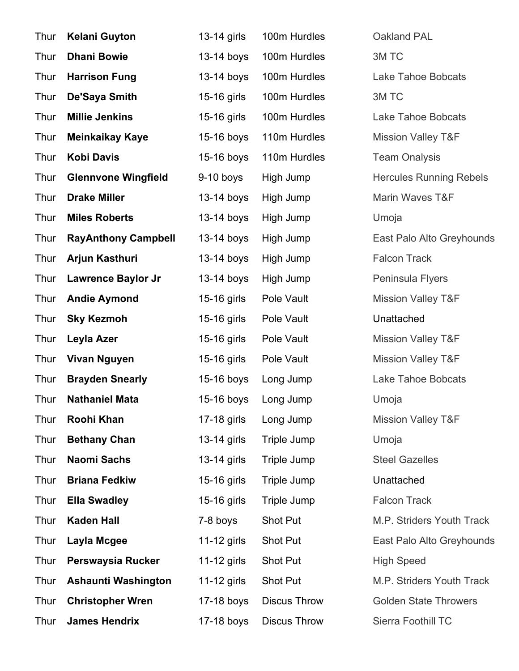| Thur | <b>Kelani Guyton</b>       | 13-14 girls   | 100m Hurdles        | Oakland PAL                    |
|------|----------------------------|---------------|---------------------|--------------------------------|
| Thur | <b>Dhani Bowie</b>         | 13-14 boys    | 100m Hurdles        | 3M TC                          |
| Thur | <b>Harrison Fung</b>       | 13-14 boys    | 100m Hurdles        | <b>Lake Tahoe Bobcats</b>      |
| Thur | <b>De'Saya Smith</b>       | 15-16 girls   | 100m Hurdles        | 3M TC                          |
| Thur | <b>Millie Jenkins</b>      | 15-16 girls   | 100m Hurdles        | <b>Lake Tahoe Bobcats</b>      |
| Thur | <b>Meinkaikay Kaye</b>     | 15-16 boys    | 110m Hurdles        | <b>Mission Valley T&amp;F</b>  |
| Thur | <b>Kobi Davis</b>          | 15-16 boys    | 110m Hurdles        | <b>Team Onalysis</b>           |
| Thur | <b>Glennvone Wingfield</b> | $9-10$ boys   | High Jump           | <b>Hercules Running Rebels</b> |
| Thur | <b>Drake Miller</b>        | 13-14 boys    | High Jump           | Marin Waves T&F                |
| Thur | <b>Miles Roberts</b>       | 13-14 boys    | High Jump           | Umoja                          |
| Thur | <b>RayAnthony Campbell</b> | 13-14 boys    | High Jump           | East Palo Alto Greyhounds      |
| Thur | Arjun Kasthuri             | 13-14 boys    | High Jump           | <b>Falcon Track</b>            |
| Thur | <b>Lawrence Baylor Jr</b>  | 13-14 boys    | High Jump           | Peninsula Flyers               |
| Thur | <b>Andie Aymond</b>        | 15-16 girls   | Pole Vault          | <b>Mission Valley T&amp;F</b>  |
| Thur | <b>Sky Kezmoh</b>          | 15-16 girls   | Pole Vault          | Unattached                     |
| Thur | Leyla Azer                 | 15-16 girls   | Pole Vault          | <b>Mission Valley T&amp;F</b>  |
| Thur | <b>Vivan Nguyen</b>        | 15-16 girls   | Pole Vault          | <b>Mission Valley T&amp;F</b>  |
| Thur | <b>Brayden Snearly</b>     | 15-16 boys    | Long Jump           | Lake Tahoe Bobcats             |
| Thur | <b>Nathaniel Mata</b>      | 15-16 boys    | Long Jump           | Umoja                          |
| Thur | Roohi Khan                 | 17-18 girls   | Long Jump           | <b>Mission Valley T&amp;F</b>  |
| Thur | <b>Bethany Chan</b>        | 13-14 girls   | Triple Jump         | Umoja                          |
| Thur | <b>Naomi Sachs</b>         | $13-14$ girls | Triple Jump         | <b>Steel Gazelles</b>          |
| Thur | <b>Briana Fedkiw</b>       | 15-16 girls   | Triple Jump         | Unattached                     |
| Thur | <b>Ella Swadley</b>        | 15-16 girls   | Triple Jump         | <b>Falcon Track</b>            |
| Thur | <b>Kaden Hall</b>          | 7-8 boys      | Shot Put            | M.P. Striders Youth Track      |
| Thur | Layla Mcgee                | 11-12 girls   | Shot Put            | East Palo Alto Greyhounds      |
| Thur | Perswaysia Rucker          | 11-12 girls   | Shot Put            | <b>High Speed</b>              |
| Thur | Ashaunti Washington        | 11-12 girls   | Shot Put            | M.P. Striders Youth Track      |
| Thur | <b>Christopher Wren</b>    | 17-18 boys    | <b>Discus Throw</b> | <b>Golden State Throwers</b>   |
| Thur | <b>James Hendrix</b>       | 17-18 boys    | <b>Discus Throw</b> | Sierra Foothill TC             |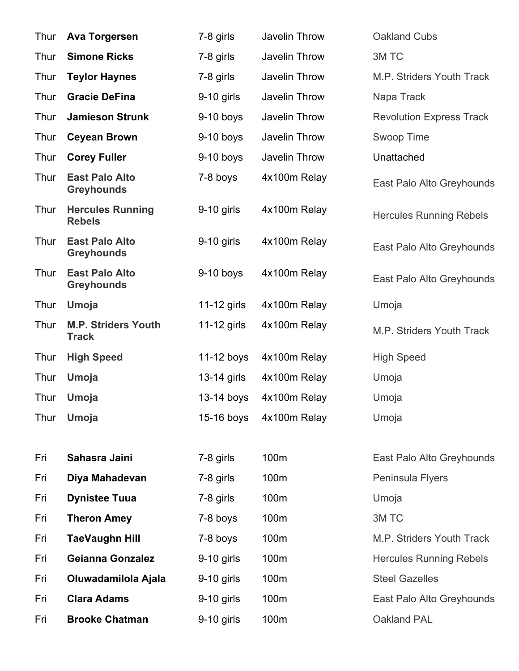| Thur | <b>Ava Torgersen</b>                       | 7-8 girls    | Javelin Throw | <b>Oakland Cubs</b>             |
|------|--------------------------------------------|--------------|---------------|---------------------------------|
| Thur | <b>Simone Ricks</b>                        | 7-8 girls    | Javelin Throw | 3M TC                           |
| Thur | <b>Teylor Haynes</b>                       | 7-8 girls    | Javelin Throw | M.P. Striders Youth Track       |
| Thur | <b>Gracie DeFina</b>                       | $9-10$ girls | Javelin Throw | Napa Track                      |
| Thur | <b>Jamieson Strunk</b>                     | $9-10$ boys  | Javelin Throw | <b>Revolution Express Track</b> |
| Thur | <b>Ceyean Brown</b>                        | $9-10$ boys  | Javelin Throw | Swoop Time                      |
| Thur | <b>Corey Fuller</b>                        | $9-10$ boys  | Javelin Throw | Unattached                      |
| Thur | <b>East Palo Alto</b><br><b>Greyhounds</b> | 7-8 boys     | 4x100m Relay  | East Palo Alto Greyhounds       |
| Thur | <b>Hercules Running</b><br><b>Rebels</b>   | $9-10$ girls | 4x100m Relay  | <b>Hercules Running Rebels</b>  |
| Thur | <b>East Palo Alto</b><br><b>Greyhounds</b> | $9-10$ girls | 4x100m Relay  | East Palo Alto Greyhounds       |
| Thur | <b>East Palo Alto</b><br><b>Greyhounds</b> | $9-10$ boys  | 4x100m Relay  | East Palo Alto Greyhounds       |
| Thur | Umoja                                      | 11-12 girls  | 4x100m Relay  | Umoja                           |
| Thur | <b>M.P. Striders Youth</b><br><b>Track</b> | 11-12 girls  | 4x100m Relay  | M.P. Striders Youth Track       |
| Thur | <b>High Speed</b>                          | 11-12 boys   | 4x100m Relay  | <b>High Speed</b>               |
| Thur | Umoja                                      | 13-14 girls  | 4x100m Relay  | Umoja                           |
| Thur | Umoja                                      | 13-14 boys   | 4x100m Relay  | Umoja                           |
| Thur | Umoja                                      | 15-16 boys   | 4x100m Relay  | Umoja                           |
|      |                                            |              |               |                                 |
| Fri  | Sahasra Jaini                              | 7-8 girls    | 100m          | East Palo Alto Greyhounds       |
| Fri  | Diya Mahadevan                             | 7-8 girls    | 100m          | Peninsula Flyers                |
| Fri  | <b>Dynistee Tuua</b>                       | 7-8 girls    | 100m          | Umoja                           |
| Fri  | <b>Theron Amey</b>                         | 7-8 boys     | 100m          | 3M TC                           |
| Fri  | <b>TaeVaughn Hill</b>                      | 7-8 boys     | 100m          | M.P. Striders Youth Track       |
| Fri  | <b>Geianna Gonzalez</b>                    | 9-10 girls   | 100m          | <b>Hercules Running Rebels</b>  |
| Fri  | Oluwadamilola Ajala                        | 9-10 girls   | 100m          | <b>Steel Gazelles</b>           |
| Fri  | <b>Clara Adams</b>                         | 9-10 girls   | 100m          | East Palo Alto Greyhounds       |
| Fri  | <b>Brooke Chatman</b>                      | 9-10 girls   | 100m          | Oakland PAL                     |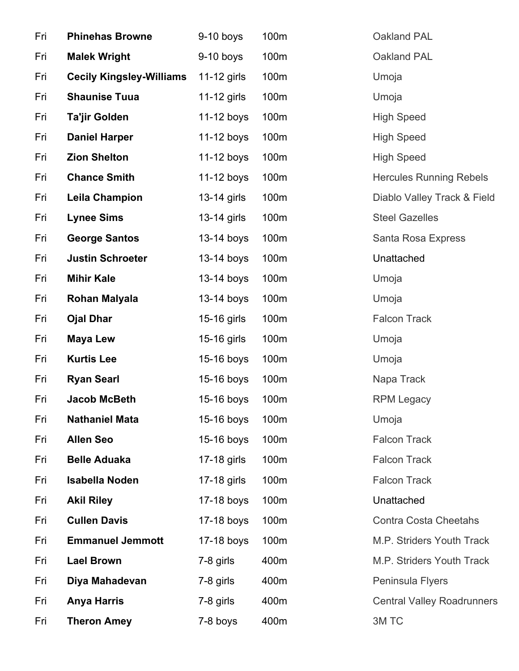| Fri | <b>Phinehas Browne</b>          | 9-10 boys   | 100m | Oakland PAL                       |
|-----|---------------------------------|-------------|------|-----------------------------------|
| Fri | <b>Malek Wright</b>             | $9-10$ boys | 100m | Oakland PAL                       |
| Fri | <b>Cecily Kingsley-Williams</b> | 11-12 girls | 100m | Umoja                             |
| Fri | <b>Shaunise Tuua</b>            | 11-12 girls | 100m | Umoja                             |
| Fri | <b>Ta'jir Golden</b>            | 11-12 boys  | 100m | <b>High Speed</b>                 |
| Fri | <b>Daniel Harper</b>            | 11-12 boys  | 100m | <b>High Speed</b>                 |
| Fri | <b>Zion Shelton</b>             | 11-12 boys  | 100m | <b>High Speed</b>                 |
| Fri | <b>Chance Smith</b>             | 11-12 boys  | 100m | <b>Hercules Running Rebels</b>    |
| Fri | <b>Leila Champion</b>           | 13-14 girls | 100m | Diablo Valley Track & Field       |
| Fri | <b>Lynee Sims</b>               | 13-14 girls | 100m | <b>Steel Gazelles</b>             |
| Fri | <b>George Santos</b>            | 13-14 boys  | 100m | Santa Rosa Express                |
| Fri | <b>Justin Schroeter</b>         | 13-14 boys  | 100m | Unattached                        |
| Fri | <b>Mihir Kale</b>               | 13-14 boys  | 100m | Umoja                             |
| Fri | Rohan Malyala                   | 13-14 boys  | 100m | Umoja                             |
| Fri | <b>Ojal Dhar</b>                | 15-16 girls | 100m | <b>Falcon Track</b>               |
| Fri | <b>Maya Lew</b>                 | 15-16 girls | 100m | Umoja                             |
| Fri | <b>Kurtis Lee</b>               | 15-16 boys  | 100m | Umoja                             |
| Fri | <b>Ryan Searl</b>               | 15-16 boys  | 100m | Napa Track                        |
| Fri | <b>Jacob McBeth</b>             | 15-16 boys  | 100m | <b>RPM Legacy</b>                 |
| Fri | <b>Nathaniel Mata</b>           | 15-16 boys  | 100m | Umoja                             |
| Fri | <b>Allen Seo</b>                | 15-16 boys  | 100m | <b>Falcon Track</b>               |
| Fri | <b>Belle Aduaka</b>             | 17-18 girls | 100m | <b>Falcon Track</b>               |
| Fri | <b>Isabella Noden</b>           | 17-18 girls | 100m | <b>Falcon Track</b>               |
| Fri | <b>Akil Riley</b>               | 17-18 boys  | 100m | Unattached                        |
| Fri | <b>Cullen Davis</b>             | 17-18 boys  | 100m | <b>Contra Costa Cheetahs</b>      |
| Fri | <b>Emmanuel Jemmott</b>         | 17-18 boys  | 100m | M.P. Striders Youth Track         |
| Fri | <b>Lael Brown</b>               | 7-8 girls   | 400m | M.P. Striders Youth Track         |
| Fri | Diya Mahadevan                  | 7-8 girls   | 400m | Peninsula Flyers                  |
| Fri | <b>Anya Harris</b>              | 7-8 girls   | 400m | <b>Central Valley Roadrunners</b> |
| Fri | <b>Theron Amey</b>              | 7-8 boys    | 400m | 3M TC                             |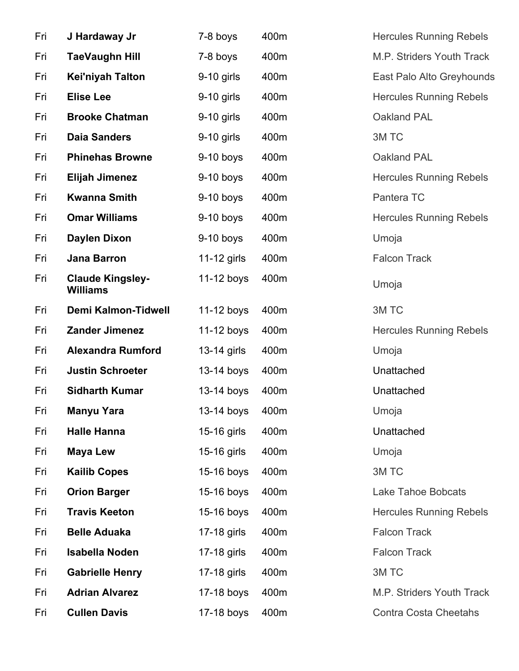| Fri | J Hardaway Jr                              | 7-8 boys     | 400m | <b>Hercules Running Rebels</b> |
|-----|--------------------------------------------|--------------|------|--------------------------------|
| Fri | <b>TaeVaughn Hill</b>                      | 7-8 boys     | 400m | M.P. Striders Youth Track      |
| Fri | <b>Kei'niyah Talton</b>                    | 9-10 girls   | 400m | East Palo Alto Greyhounds      |
| Fri | <b>Elise Lee</b>                           | $9-10$ girls | 400m | <b>Hercules Running Rebels</b> |
| Fri | <b>Brooke Chatman</b>                      | $9-10$ girls | 400m | Oakland PAL                    |
| Fri | <b>Daia Sanders</b>                        | 9-10 girls   | 400m | 3M TC                          |
| Fri | <b>Phinehas Browne</b>                     | $9-10$ boys  | 400m | Oakland PAL                    |
| Fri | <b>Elijah Jimenez</b>                      | $9-10$ boys  | 400m | <b>Hercules Running Rebels</b> |
| Fri | <b>Kwanna Smith</b>                        | $9-10$ boys  | 400m | Pantera TC                     |
| Fri | <b>Omar Williams</b>                       | $9-10$ boys  | 400m | <b>Hercules Running Rebels</b> |
| Fri | <b>Daylen Dixon</b>                        | $9-10$ boys  | 400m | Umoja                          |
| Fri | Jana Barron                                | 11-12 girls  | 400m | <b>Falcon Track</b>            |
| Fri | <b>Claude Kingsley-</b><br><b>Williams</b> | 11-12 boys   | 400m | Umoja                          |
| Fri | <b>Demi Kalmon-Tidwell</b>                 | 11-12 boys   | 400m | 3M TC                          |
| Fri | <b>Zander Jimenez</b>                      | $11-12$ boys | 400m | <b>Hercules Running Rebels</b> |
| Fri | <b>Alexandra Rumford</b>                   | 13-14 girls  | 400m | Umoja                          |
| Fri | <b>Justin Schroeter</b>                    | 13-14 boys   | 400m | Unattached                     |
| Fri | <b>Sidharth Kumar</b>                      | 13-14 boys   | 400m | Unattached                     |
| Fri | Manyu Yara                                 | 13-14 boys   | 400m | Umoja                          |
| Fri | <b>Halle Hanna</b>                         | 15-16 girls  | 400m | Unattached                     |
| Fri | <b>Maya Lew</b>                            | 15-16 girls  | 400m | Umoja                          |
| Fri | <b>Kailib Copes</b>                        | 15-16 boys   | 400m | 3M TC                          |
| Fri | <b>Orion Barger</b>                        | 15-16 boys   | 400m | Lake Tahoe Bobcats             |
| Fri | <b>Travis Keeton</b>                       | 15-16 boys   | 400m | <b>Hercules Running Rebels</b> |
| Fri | <b>Belle Aduaka</b>                        | 17-18 girls  | 400m | <b>Falcon Track</b>            |
| Fri | <b>Isabella Noden</b>                      | 17-18 girls  | 400m | <b>Falcon Track</b>            |
| Fri | <b>Gabrielle Henry</b>                     | 17-18 girls  | 400m | 3M TC                          |
| Fri | <b>Adrian Alvarez</b>                      | 17-18 boys   | 400m | M.P. Striders Youth Track      |
| Fri | <b>Cullen Davis</b>                        | 17-18 boys   | 400m | <b>Contra Costa Cheetahs</b>   |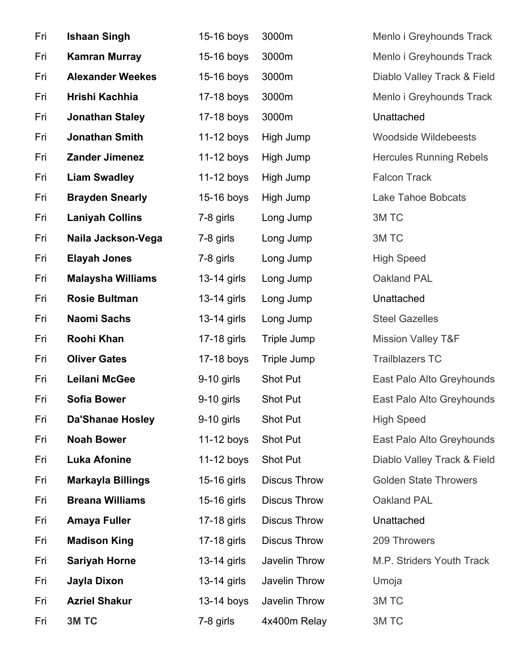| Fri | <b>Ishaan Singh</b>      | 15-16 boys   | 3000m               | Menlo i Greyhounds Track       |
|-----|--------------------------|--------------|---------------------|--------------------------------|
| Fri | <b>Kamran Murray</b>     | 15-16 boys   | 3000m               | Menlo i Greyhounds Track       |
| Fri | <b>Alexander Weekes</b>  | 15-16 boys   | 3000m               | Diablo Valley Track & Field    |
| Fri | Hrishi Kachhia           | 17-18 boys   | 3000m               | Menlo i Greyhounds Track       |
| Fri | <b>Jonathan Staley</b>   | 17-18 boys   | 3000m               | Unattached                     |
| Fri | <b>Jonathan Smith</b>    | 11-12 boys   | High Jump           | <b>Woodside Wildebeests</b>    |
| Fri | <b>Zander Jimenez</b>    | 11-12 boys   | High Jump           | <b>Hercules Running Rebels</b> |
| Fri | <b>Liam Swadley</b>      | 11-12 boys   | High Jump           | <b>Falcon Track</b>            |
| Fri | <b>Brayden Snearly</b>   | 15-16 boys   | High Jump           | <b>Lake Tahoe Bobcats</b>      |
| Fri | <b>Laniyah Collins</b>   | 7-8 girls    | Long Jump           | 3M TC                          |
| Fri | Naila Jackson-Vega       | 7-8 girls    | Long Jump           | 3M TC                          |
| Fri | <b>Elayah Jones</b>      | 7-8 girls    | Long Jump           | <b>High Speed</b>              |
| Fri | <b>Malaysha Williams</b> | 13-14 girls  | Long Jump           | Oakland PAL                    |
| Fri | <b>Rosie Bultman</b>     | 13-14 girls  | Long Jump           | Unattached                     |
| Fri | Naomi Sachs              | 13-14 girls  | Long Jump           | <b>Steel Gazelles</b>          |
| Fri | Roohi Khan               | 17-18 girls  | Triple Jump         | <b>Mission Valley T&amp;F</b>  |
| Fri | <b>Oliver Gates</b>      | 17-18 boys   | Triple Jump         | <b>Trailblazers TC</b>         |
| Fri | Leilani McGee            | 9-10 girls   | Shot Put            | East Palo Alto Greyhounds      |
| Fri | <b>Sofia Bower</b>       | $9-10$ girls | Shot Put            | East Palo Alto Greyhounds      |
| Fri | <b>Da'Shanae Hosley</b>  | $9-10$ girls | Shot Put            | <b>High Speed</b>              |
| Fri | <b>Noah Bower</b>        | 11-12 boys   | Shot Put            | East Palo Alto Greyhounds      |
| Fri | <b>Luka Afonine</b>      | $11-12$ boys | Shot Put            | Diablo Valley Track & Field    |
| Fri | <b>Markayla Billings</b> | 15-16 girls  | <b>Discus Throw</b> | <b>Golden State Throwers</b>   |
| Fri | <b>Breana Williams</b>   | 15-16 girls  | <b>Discus Throw</b> | Oakland PAL                    |
| Fri | <b>Amaya Fuller</b>      | 17-18 girls  | <b>Discus Throw</b> | Unattached                     |
| Fri | <b>Madison King</b>      | 17-18 girls  | <b>Discus Throw</b> | 209 Throwers                   |
| Fri | <b>Sariyah Horne</b>     | 13-14 girls  | Javelin Throw       | M.P. Striders Youth Track      |
| Fri | Jayla Dixon              | 13-14 girls  | Javelin Throw       | Umoja                          |
| Fri | <b>Azriel Shakur</b>     | $13-14$ boys | Javelin Throw       | 3M TC                          |
| Fri | 3M TC                    | 7-8 girls    | 4x400m Relay        | 3M TC                          |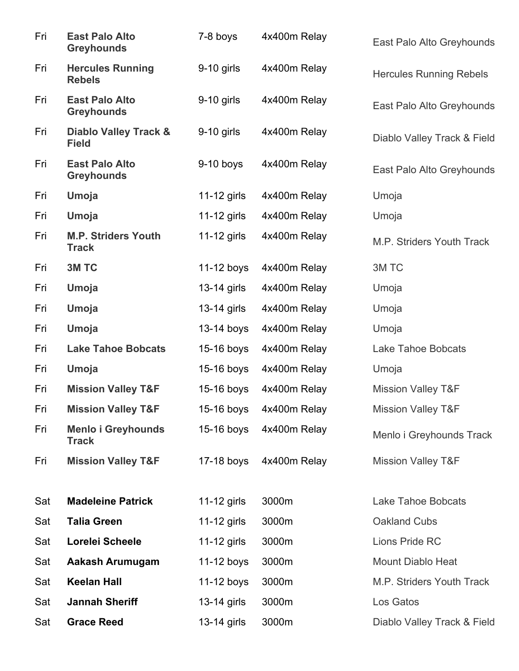| Fri | <b>East Palo Alto</b><br><b>Greyhounds</b>       | 7-8 boys      | 4x400m Relay            | East Palo Alto Greyhounds      |
|-----|--------------------------------------------------|---------------|-------------------------|--------------------------------|
| Fri | <b>Hercules Running</b><br><b>Rebels</b>         | $9-10$ girls  | 4x400m Relay            | <b>Hercules Running Rebels</b> |
| Fri | <b>East Palo Alto</b><br><b>Greyhounds</b>       | 9-10 girls    | 4x400m Relay            | East Palo Alto Greyhounds      |
| Fri | <b>Diablo Valley Track &amp;</b><br><b>Field</b> | $9-10$ girls  | 4x400m Relay            | Diablo Valley Track & Field    |
| Fri | <b>East Palo Alto</b><br><b>Greyhounds</b>       | $9-10$ boys   | 4x400m Relay            | East Palo Alto Greyhounds      |
| Fri | Umoja                                            | $11-12$ girls | 4x400m Relay            | Umoja                          |
| Fri | Umoja                                            | $11-12$ girls | 4x400m Relay            | Umoja                          |
| Fri | <b>M.P. Striders Youth</b><br><b>Track</b>       | $11-12$ girls | 4x400m Relay            | M.P. Striders Youth Track      |
| Fri | 3M TC                                            | 11-12 boys    | 4x400m Relay            | 3M TC                          |
| Fri | <b>Umoja</b>                                     | 13-14 girls   | 4x400m Relay            | Umoja                          |
| Fri | Umoja                                            | 13-14 girls   | 4x400m Relay            | Umoja                          |
| Fri | Umoja                                            | 13-14 boys    | 4x400m Relay            | Umoja                          |
| Fri | <b>Lake Tahoe Bobcats</b>                        | 15-16 boys    | 4x400m Relay            | Lake Tahoe Bobcats             |
| Fri | Umoja                                            | 15-16 boys    | 4x400m Relay            | Umoja                          |
| Fri | <b>Mission Valley T&amp;F</b>                    | $15-16$ boys  | 4x400m Relay            | <b>Mission Valley T&amp;F</b>  |
| Fri | <b>Mission Valley T&amp;F</b>                    |               | 15-16 boys 4x400m Relay | <b>Mission Valley T&amp;F</b>  |
| Fri | <b>Menlo i Greyhounds</b><br><b>Track</b>        | $15-16$ boys  | 4x400m Relay            | Menlo i Greyhounds Track       |
| Fri | <b>Mission Valley T&amp;F</b>                    | 17-18 boys    | 4x400m Relay            | <b>Mission Valley T&amp;F</b>  |
| Sat | <b>Madeleine Patrick</b>                         | 11-12 girls   | 3000m                   | <b>Lake Tahoe Bobcats</b>      |
| Sat | <b>Talia Green</b>                               | 11-12 girls   | 3000m                   | <b>Oakland Cubs</b>            |
| Sat | Lorelei Scheele                                  | 11-12 girls   | 3000m                   | Lions Pride RC                 |
| Sat | Aakash Arumugam                                  | $11-12$ boys  | 3000m                   | <b>Mount Diablo Heat</b>       |
| Sat | <b>Keelan Hall</b>                               | $11-12$ boys  | 3000m                   | M.P. Striders Youth Track      |
| Sat | <b>Jannah Sheriff</b>                            | 13-14 girls   | 3000m                   | Los Gatos                      |
| Sat | <b>Grace Reed</b>                                | 13-14 girls   | 3000m                   | Diablo Valley Track & Field    |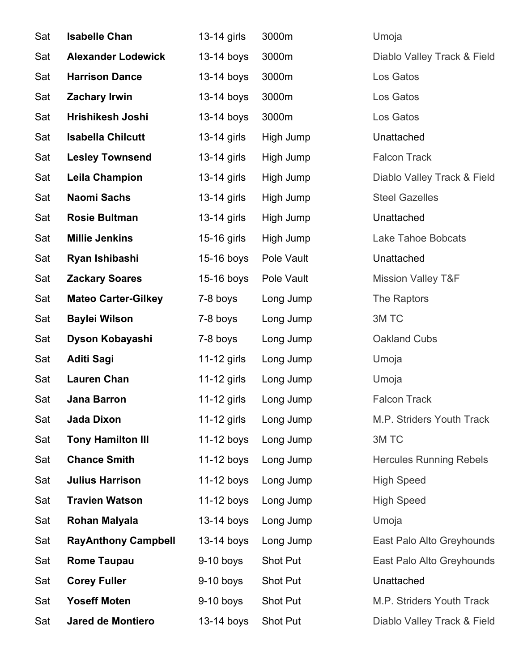| Sat | <b>Isabelle Chan</b>       | 13-14 girls   | 3000m      | Umoja                          |
|-----|----------------------------|---------------|------------|--------------------------------|
| Sat | <b>Alexander Lodewick</b>  | 13-14 boys    | 3000m      | Diablo Valley Track & Field    |
| Sat | <b>Harrison Dance</b>      | 13-14 boys    | 3000m      | Los Gatos                      |
| Sat | <b>Zachary Irwin</b>       | 13-14 boys    | 3000m      | Los Gatos                      |
| Sat | Hrishikesh Joshi           | 13-14 boys    | 3000m      | Los Gatos                      |
| Sat | <b>Isabella Chilcutt</b>   | $13-14$ girls | High Jump  | Unattached                     |
| Sat | <b>Lesley Townsend</b>     | 13-14 girls   | High Jump  | <b>Falcon Track</b>            |
| Sat | <b>Leila Champion</b>      | 13-14 girls   | High Jump  | Diablo Valley Track & Field    |
| Sat | <b>Naomi Sachs</b>         | 13-14 girls   | High Jump  | <b>Steel Gazelles</b>          |
| Sat | <b>Rosie Bultman</b>       | 13-14 girls   | High Jump  | Unattached                     |
| Sat | <b>Millie Jenkins</b>      | 15-16 girls   | High Jump  | Lake Tahoe Bobcats             |
| Sat | Ryan Ishibashi             | 15-16 boys    | Pole Vault | Unattached                     |
| Sat | <b>Zackary Soares</b>      | 15-16 boys    | Pole Vault | <b>Mission Valley T&amp;F</b>  |
| Sat | <b>Mateo Carter-Gilkey</b> | 7-8 boys      | Long Jump  | The Raptors                    |
| Sat | <b>Baylei Wilson</b>       | 7-8 boys      | Long Jump  | 3M TC                          |
| Sat | Dyson Kobayashi            | 7-8 boys      | Long Jump  | Oakland Cubs                   |
| Sat | <b>Aditi Sagi</b>          | 11-12 girls   | Long Jump  | Umoja                          |
| Sat | <b>Lauren Chan</b>         | 11-12 girls   | Long Jump  | Umoja                          |
| Sat | <b>Jana Barron</b>         | 11-12 girls   | Long Jump  | <b>Falcon Track</b>            |
| Sat | Jada Dixon                 | 11-12 girls   | Long Jump  | M.P. Striders Youth Track      |
| Sat | <b>Tony Hamilton III</b>   | 11-12 boys    | Long Jump  | 3M TC                          |
| Sat | <b>Chance Smith</b>        | $11-12$ boys  | Long Jump  | <b>Hercules Running Rebels</b> |
| Sat | <b>Julius Harrison</b>     | $11-12$ boys  | Long Jump  | <b>High Speed</b>              |
| Sat | <b>Travien Watson</b>      | 11-12 boys    | Long Jump  | <b>High Speed</b>              |
| Sat | Rohan Malyala              | $13-14$ boys  | Long Jump  | Umoja                          |
| Sat | <b>RayAnthony Campbell</b> | 13-14 boys    | Long Jump  | East Palo Alto Greyhounds      |
| Sat | <b>Rome Taupau</b>         | $9-10$ boys   | Shot Put   | East Palo Alto Greyhounds      |
| Sat | <b>Corey Fuller</b>        | $9-10$ boys   | Shot Put   | Unattached                     |
| Sat | <b>Yoseff Moten</b>        | $9-10$ boys   | Shot Put   | M.P. Striders Youth Track      |
| Sat | <b>Jared de Montiero</b>   | 13-14 boys    | Shot Put   | Diablo Valley Track & Field    |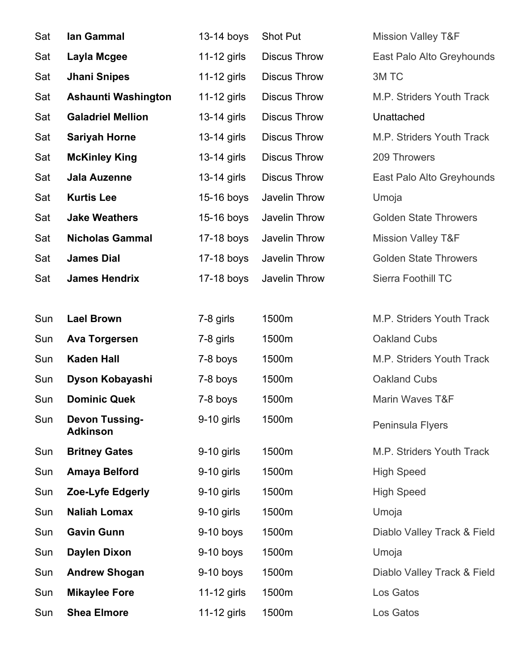| Sat | lan Gammal                               | 13-14 boys   | Shot Put            | <b>Mission Valley T&amp;F</b> |
|-----|------------------------------------------|--------------|---------------------|-------------------------------|
| Sat | Layla Mcgee                              | 11-12 girls  | <b>Discus Throw</b> | East Palo Alto Greyhounds     |
| Sat | <b>Jhani Snipes</b>                      | 11-12 girls  | <b>Discus Throw</b> | 3M TC                         |
| Sat | <b>Ashaunti Washington</b>               | 11-12 girls  | <b>Discus Throw</b> | M.P. Striders Youth Track     |
| Sat | <b>Galadriel Mellion</b>                 | 13-14 girls  | <b>Discus Throw</b> | Unattached                    |
| Sat | <b>Sariyah Horne</b>                     | 13-14 girls  | <b>Discus Throw</b> | M.P. Striders Youth Track     |
| Sat | <b>McKinley King</b>                     | 13-14 girls  | <b>Discus Throw</b> | 209 Throwers                  |
| Sat | Jala Auzenne                             | 13-14 girls  | <b>Discus Throw</b> | East Palo Alto Greyhounds     |
| Sat | <b>Kurtis Lee</b>                        | 15-16 boys   | Javelin Throw       | Umoja                         |
| Sat | <b>Jake Weathers</b>                     | $15-16$ boys | Javelin Throw       | <b>Golden State Throwers</b>  |
| Sat | <b>Nicholas Gammal</b>                   | 17-18 boys   | Javelin Throw       | <b>Mission Valley T&amp;F</b> |
| Sat | <b>James Dial</b>                        | $17-18$ boys | Javelin Throw       | <b>Golden State Throwers</b>  |
| Sat | <b>James Hendrix</b>                     | 17-18 boys   | Javelin Throw       | Sierra Foothill TC            |
|     |                                          |              |                     |                               |
| Sun | <b>Lael Brown</b>                        | 7-8 girls    | 1500m               | M.P. Striders Youth Track     |
| Sun | <b>Ava Torgersen</b>                     | 7-8 girls    | 1500m               | Oakland Cubs                  |
| Sun | <b>Kaden Hall</b>                        | 7-8 boys     | 1500m               | M.P. Striders Youth Track     |
| Sun | Dyson Kobayashi                          | 7-8 boys     | 1500m               | Oakland Cubs                  |
| Sun | <b>Dominic Quek</b>                      | 7-8 boys     | 1500m               | Marin Waves T&F               |
| Sun | <b>Devon Tussing-</b><br><b>Adkinson</b> | $9-10$ girls | 1500m               | Peninsula Flyers              |
| Sun | <b>Britney Gates</b>                     | $9-10$ girls | 1500m               | M.P. Striders Youth Track     |
| Sun | <b>Amaya Belford</b>                     | 9-10 girls   | 1500m               | <b>High Speed</b>             |
| Sun | Zoe-Lyfe Edgerly                         | $9-10$ girls | 1500m               | <b>High Speed</b>             |
| Sun | <b>Naliah Lomax</b>                      | 9-10 girls   | 1500m               | Umoja                         |
| Sun | <b>Gavin Gunn</b>                        | $9-10$ boys  | 1500m               | Diablo Valley Track & Field   |
| Sun | <b>Daylen Dixon</b>                      | $9-10$ boys  | 1500m               | Umoja                         |
| Sun | <b>Andrew Shogan</b>                     | $9-10$ boys  | 1500m               | Diablo Valley Track & Field   |
| Sun | <b>Mikaylee Fore</b>                     | 11-12 girls  | 1500m               | Los Gatos                     |
| Sun | <b>Shea Elmore</b>                       | 11-12 girls  | 1500m               | Los Gatos                     |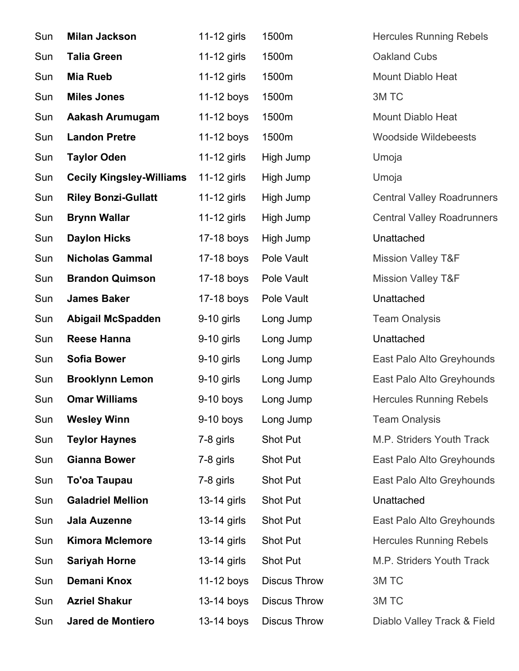| Sun | <b>Milan Jackson</b>            | 11-12 girls  | 1500m               | <b>Hercules Running Rebels</b>    |
|-----|---------------------------------|--------------|---------------------|-----------------------------------|
| Sun | <b>Talia Green</b>              | 11-12 girls  | 1500m               | Oakland Cubs                      |
| Sun | <b>Mia Rueb</b>                 | 11-12 girls  | 1500m               | <b>Mount Diablo Heat</b>          |
| Sun | <b>Miles Jones</b>              | 11-12 boys   | 1500m               | 3M TC                             |
| Sun | <b>Aakash Arumugam</b>          | 11-12 boys   | 1500m               | <b>Mount Diablo Heat</b>          |
| Sun | <b>Landon Pretre</b>            | 11-12 boys   | 1500m               | <b>Woodside Wildebeests</b>       |
| Sun | <b>Taylor Oden</b>              | 11-12 girls  | High Jump           | Umoja                             |
| Sun | <b>Cecily Kingsley-Williams</b> | 11-12 girls  | High Jump           | Umoja                             |
| Sun | <b>Riley Bonzi-Gullatt</b>      | 11-12 girls  | High Jump           | <b>Central Valley Roadrunners</b> |
| Sun | <b>Brynn Wallar</b>             | 11-12 girls  | High Jump           | <b>Central Valley Roadrunners</b> |
| Sun | <b>Daylon Hicks</b>             | 17-18 boys   | High Jump           | Unattached                        |
| Sun | <b>Nicholas Gammal</b>          | 17-18 boys   | Pole Vault          | <b>Mission Valley T&amp;F</b>     |
| Sun | <b>Brandon Quimson</b>          | 17-18 boys   | Pole Vault          | <b>Mission Valley T&amp;F</b>     |
| Sun | <b>James Baker</b>              | 17-18 boys   | Pole Vault          | Unattached                        |
| Sun | <b>Abigail McSpadden</b>        | 9-10 girls   | Long Jump           | <b>Team Onalysis</b>              |
| Sun | <b>Reese Hanna</b>              | $9-10$ girls | Long Jump           | Unattached                        |
| Sun | <b>Sofia Bower</b>              | 9-10 girls   | Long Jump           | East Palo Alto Greyhounds         |
| Sun | <b>Brooklynn Lemon</b>          | 9-10 girls   | Long Jump           | East Palo Alto Greyhounds         |
| Sun | <b>Omar Williams</b>            | $9-10$ boys  | Long Jump           | <b>Hercules Running Rebels</b>    |
| Sun | <b>Wesley Winn</b>              | $9-10$ boys  | Long Jump           | <b>Team Onalysis</b>              |
| Sun | <b>Teylor Haynes</b>            | 7-8 girls    | Shot Put            | M.P. Striders Youth Track         |
| Sun | <b>Gianna Bower</b>             | 7-8 girls    | Shot Put            | East Palo Alto Greyhounds         |
| Sun | <b>To'oa Taupau</b>             | 7-8 girls    | Shot Put            | East Palo Alto Greyhounds         |
| Sun | <b>Galadriel Mellion</b>        | 13-14 girls  | Shot Put            | Unattached                        |
| Sun | Jala Auzenne                    | 13-14 girls  | Shot Put            | East Palo Alto Greyhounds         |
| Sun | <b>Kimora Mclemore</b>          | 13-14 girls  | Shot Put            | <b>Hercules Running Rebels</b>    |
| Sun | <b>Sariyah Horne</b>            | 13-14 girls  | Shot Put            | M.P. Striders Youth Track         |
| Sun | Demani Knox                     | 11-12 boys   | <b>Discus Throw</b> | 3M TC                             |
| Sun | <b>Azriel Shakur</b>            | 13-14 boys   | <b>Discus Throw</b> | 3M TC                             |
| Sun | <b>Jared de Montiero</b>        | 13-14 boys   | <b>Discus Throw</b> | Diablo Valley Track & Field       |